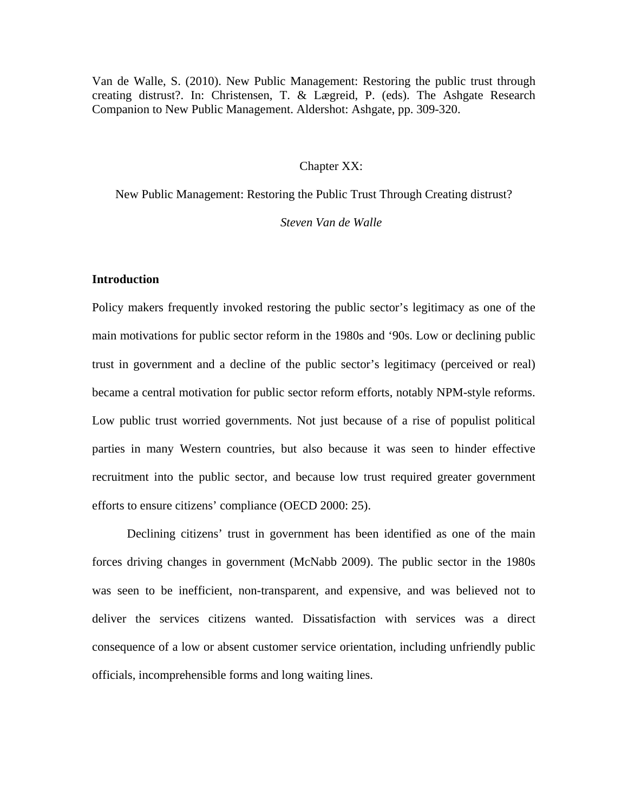Van de Walle, S. (2010). New Public Management: Restoring the public trust through creating distrust?. In: Christensen, T. & Lægreid, P. (eds). The Ashgate Research Companion to New Public Management. Aldershot: Ashgate, pp. 309-320.

## Chapter XX:

New Public Management: Restoring the Public Trust Through Creating distrust?

### *Steven Van de Walle*

### **Introduction**

Policy makers frequently invoked restoring the public sector's legitimacy as one of the main motivations for public sector reform in the 1980s and '90s. Low or declining public trust in government and a decline of the public sector's legitimacy (perceived or real) became a central motivation for public sector reform efforts, notably NPM-style reforms. Low public trust worried governments. Not just because of a rise of populist political parties in many Western countries, but also because it was seen to hinder effective recruitment into the public sector, and because low trust required greater government efforts to ensure citizens' compliance (OECD 2000: 25).

Declining citizens' trust in government has been identified as one of the main forces driving changes in government (McNabb 2009). The public sector in the 1980s was seen to be inefficient, non-transparent, and expensive, and was believed not to deliver the services citizens wanted. Dissatisfaction with services was a direct consequence of a low or absent customer service orientation, including unfriendly public officials, incomprehensible forms and long waiting lines.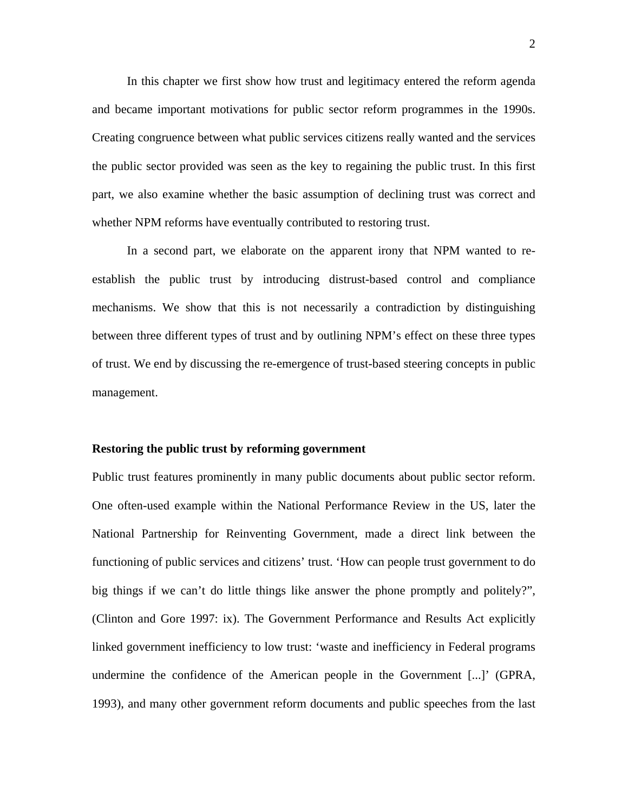In this chapter we first show how trust and legitimacy entered the reform agenda and became important motivations for public sector reform programmes in the 1990s. Creating congruence between what public services citizens really wanted and the services the public sector provided was seen as the key to regaining the public trust. In this first part, we also examine whether the basic assumption of declining trust was correct and whether NPM reforms have eventually contributed to restoring trust.

In a second part, we elaborate on the apparent irony that NPM wanted to reestablish the public trust by introducing distrust-based control and compliance mechanisms. We show that this is not necessarily a contradiction by distinguishing between three different types of trust and by outlining NPM's effect on these three types of trust. We end by discussing the re-emergence of trust-based steering concepts in public management.

#### **Restoring the public trust by reforming government**

Public trust features prominently in many public documents about public sector reform. One often-used example within the National Performance Review in the US, later the National Partnership for Reinventing Government, made a direct link between the functioning of public services and citizens' trust. 'How can people trust government to do big things if we can't do little things like answer the phone promptly and politely?", (Clinton and Gore 1997: ix). The Government Performance and Results Act explicitly linked government inefficiency to low trust: 'waste and inefficiency in Federal programs undermine the confidence of the American people in the Government [...]' (GPRA, 1993), and many other government reform documents and public speeches from the last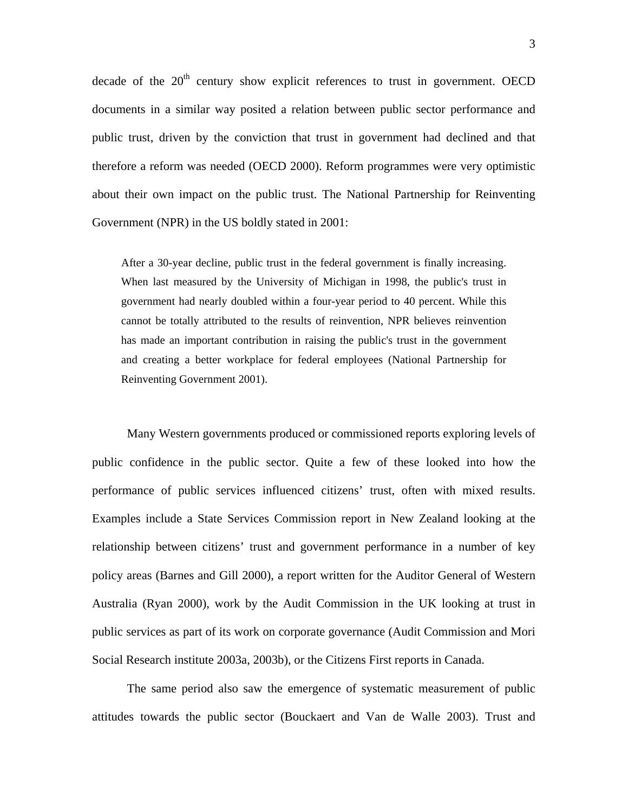decade of the  $20<sup>th</sup>$  century show explicit references to trust in government. OECD documents in a similar way posited a relation between public sector performance and public trust, driven by the conviction that trust in government had declined and that therefore a reform was needed (OECD 2000). Reform programmes were very optimistic about their own impact on the public trust. The National Partnership for Reinventing Government (NPR) in the US boldly stated in 2001:

After a 30-year decline, public trust in the federal government is finally increasing. When last measured by the University of Michigan in 1998, the public's trust in government had nearly doubled within a four-year period to 40 percent. While this cannot be totally attributed to the results of reinvention, NPR believes reinvention has made an important contribution in raising the public's trust in the government and creating a better workplace for federal employees (National Partnership for Reinventing Government 2001).

Many Western governments produced or commissioned reports exploring levels of public confidence in the public sector. Quite a few of these looked into how the performance of public services influenced citizens' trust, often with mixed results. Examples include a State Services Commission report in New Zealand looking at the relationship between citizens' trust and government performance in a number of key policy areas (Barnes and Gill 2000), a report written for the Auditor General of Western Australia (Ryan 2000), work by the Audit Commission in the UK looking at trust in public services as part of its work on corporate governance (Audit Commission and Mori Social Research institute 2003a, 2003b), or the Citizens First reports in Canada.

The same period also saw the emergence of systematic measurement of public attitudes towards the public sector (Bouckaert and Van de Walle 2003). Trust and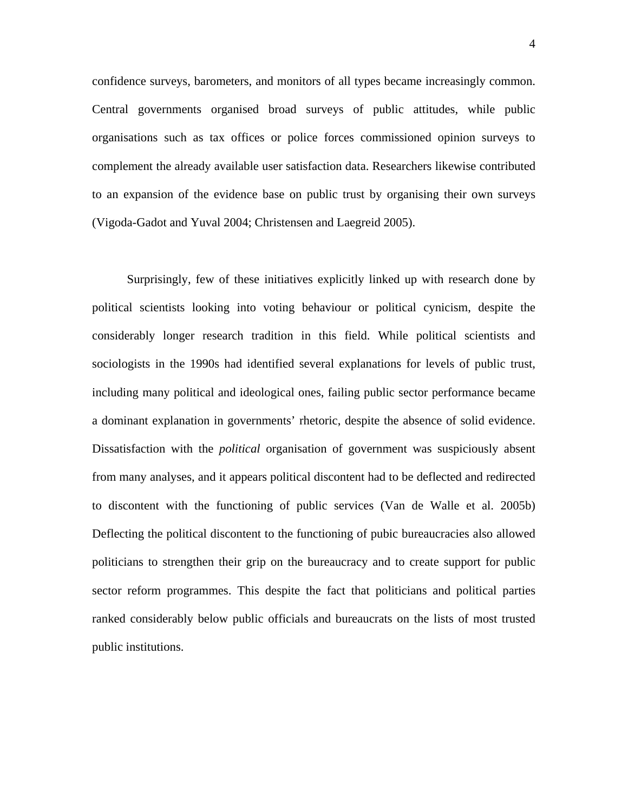confidence surveys, barometers, and monitors of all types became increasingly common. Central governments organised broad surveys of public attitudes, while public organisations such as tax offices or police forces commissioned opinion surveys to complement the already available user satisfaction data. Researchers likewise contributed to an expansion of the evidence base on public trust by organising their own surveys (Vigoda-Gadot and Yuval 2004; Christensen and Laegreid 2005).

Surprisingly, few of these initiatives explicitly linked up with research done by political scientists looking into voting behaviour or political cynicism, despite the considerably longer research tradition in this field. While political scientists and sociologists in the 1990s had identified several explanations for levels of public trust, including many political and ideological ones, failing public sector performance became a dominant explanation in governments' rhetoric, despite the absence of solid evidence. Dissatisfaction with the *political* organisation of government was suspiciously absent from many analyses, and it appears political discontent had to be deflected and redirected to discontent with the functioning of public services (Van de Walle et al. 2005b) Deflecting the political discontent to the functioning of pubic bureaucracies also allowed politicians to strengthen their grip on the bureaucracy and to create support for public sector reform programmes. This despite the fact that politicians and political parties ranked considerably below public officials and bureaucrats on the lists of most trusted public institutions.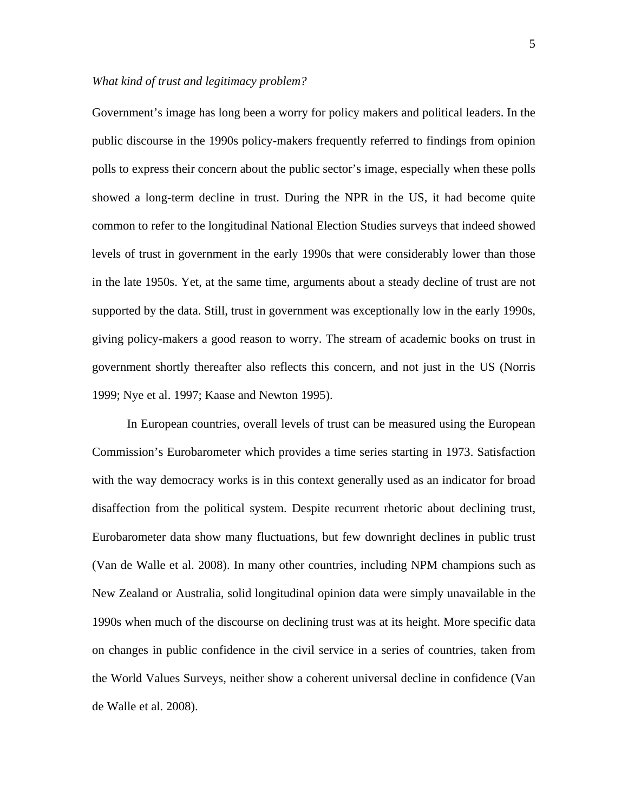### *What kind of trust and legitimacy problem?*

Government's image has long been a worry for policy makers and political leaders. In the public discourse in the 1990s policy-makers frequently referred to findings from opinion polls to express their concern about the public sector's image, especially when these polls showed a long-term decline in trust. During the NPR in the US, it had become quite common to refer to the longitudinal National Election Studies surveys that indeed showed levels of trust in government in the early 1990s that were considerably lower than those in the late 1950s. Yet, at the same time, arguments about a steady decline of trust are not supported by the data. Still, trust in government was exceptionally low in the early 1990s, giving policy-makers a good reason to worry. The stream of academic books on trust in government shortly thereafter also reflects this concern, and not just in the US (Norris 1999; Nye et al. 1997; Kaase and Newton 1995).

In European countries, overall levels of trust can be measured using the European Commission's Eurobarometer which provides a time series starting in 1973. Satisfaction with the way democracy works is in this context generally used as an indicator for broad disaffection from the political system. Despite recurrent rhetoric about declining trust, Eurobarometer data show many fluctuations, but few downright declines in public trust (Van de Walle et al. 2008). In many other countries, including NPM champions such as New Zealand or Australia, solid longitudinal opinion data were simply unavailable in the 1990s when much of the discourse on declining trust was at its height. More specific data on changes in public confidence in the civil service in a series of countries, taken from the World Values Surveys, neither show a coherent universal decline in confidence (Van de Walle et al. 2008).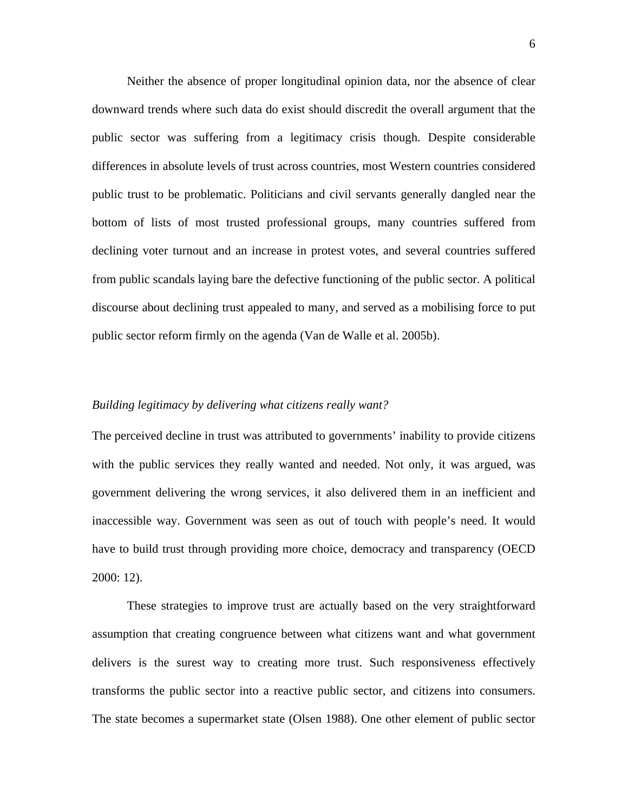Neither the absence of proper longitudinal opinion data, nor the absence of clear downward trends where such data do exist should discredit the overall argument that the public sector was suffering from a legitimacy crisis though. Despite considerable differences in absolute levels of trust across countries, most Western countries considered public trust to be problematic. Politicians and civil servants generally dangled near the bottom of lists of most trusted professional groups, many countries suffered from declining voter turnout and an increase in protest votes, and several countries suffered from public scandals laying bare the defective functioning of the public sector. A political discourse about declining trust appealed to many, and served as a mobilising force to put public sector reform firmly on the agenda (Van de Walle et al. 2005b).

## *Building legitimacy by delivering what citizens really want?*

The perceived decline in trust was attributed to governments' inability to provide citizens with the public services they really wanted and needed. Not only, it was argued, was government delivering the wrong services, it also delivered them in an inefficient and inaccessible way. Government was seen as out of touch with people's need. It would have to build trust through providing more choice, democracy and transparency (OECD 2000: 12).

These strategies to improve trust are actually based on the very straightforward assumption that creating congruence between what citizens want and what government delivers is the surest way to creating more trust. Such responsiveness effectively transforms the public sector into a reactive public sector, and citizens into consumers. The state becomes a supermarket state (Olsen 1988). One other element of public sector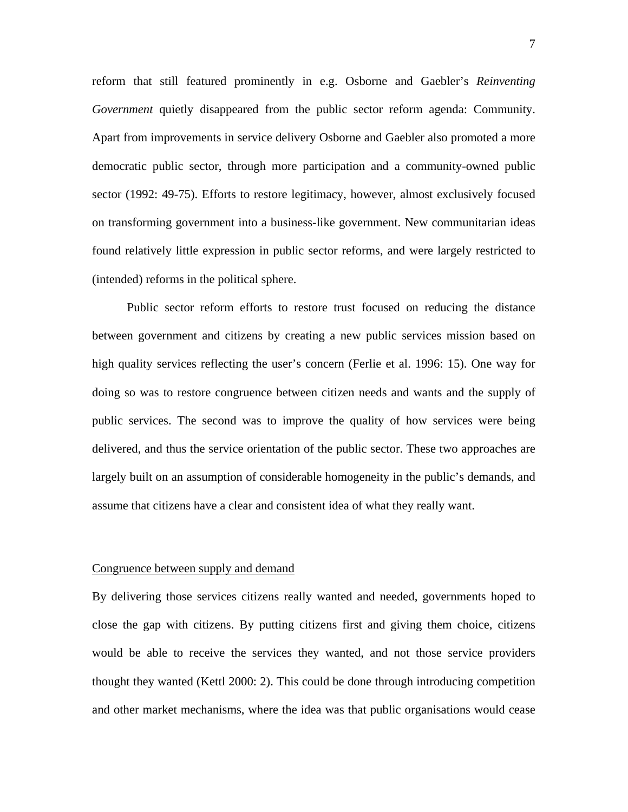reform that still featured prominently in e.g. Osborne and Gaebler's *Reinventing Government* quietly disappeared from the public sector reform agenda: Community. Apart from improvements in service delivery Osborne and Gaebler also promoted a more democratic public sector, through more participation and a community-owned public sector (1992: 49-75). Efforts to restore legitimacy, however, almost exclusively focused on transforming government into a business-like government. New communitarian ideas found relatively little expression in public sector reforms, and were largely restricted to (intended) reforms in the political sphere.

Public sector reform efforts to restore trust focused on reducing the distance between government and citizens by creating a new public services mission based on high quality services reflecting the user's concern (Ferlie et al. 1996: 15). One way for doing so was to restore congruence between citizen needs and wants and the supply of public services. The second was to improve the quality of how services were being delivered, and thus the service orientation of the public sector. These two approaches are largely built on an assumption of considerable homogeneity in the public's demands, and assume that citizens have a clear and consistent idea of what they really want.

#### Congruence between supply and demand

By delivering those services citizens really wanted and needed, governments hoped to close the gap with citizens. By putting citizens first and giving them choice, citizens would be able to receive the services they wanted, and not those service providers thought they wanted (Kettl 2000: 2). This could be done through introducing competition and other market mechanisms, where the idea was that public organisations would cease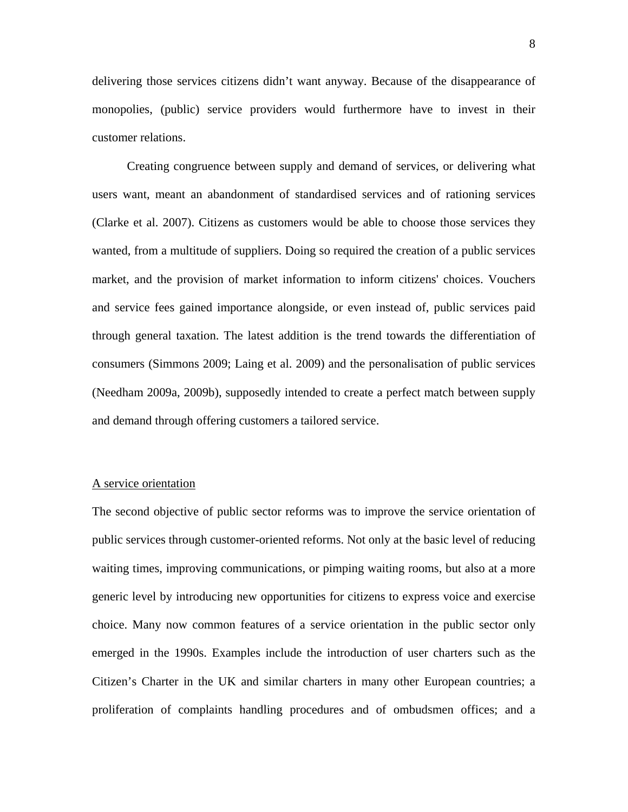delivering those services citizens didn't want anyway. Because of the disappearance of monopolies, (public) service providers would furthermore have to invest in their customer relations.

Creating congruence between supply and demand of services, or delivering what users want, meant an abandonment of standardised services and of rationing services (Clarke et al. 2007). Citizens as customers would be able to choose those services they wanted, from a multitude of suppliers. Doing so required the creation of a public services market, and the provision of market information to inform citizens' choices. Vouchers and service fees gained importance alongside, or even instead of, public services paid through general taxation. The latest addition is the trend towards the differentiation of consumers (Simmons 2009; Laing et al. 2009) and the personalisation of public services (Needham 2009a, 2009b), supposedly intended to create a perfect match between supply and demand through offering customers a tailored service.

## A service orientation

The second objective of public sector reforms was to improve the service orientation of public services through customer-oriented reforms. Not only at the basic level of reducing waiting times, improving communications, or pimping waiting rooms, but also at a more generic level by introducing new opportunities for citizens to express voice and exercise choice. Many now common features of a service orientation in the public sector only emerged in the 1990s. Examples include the introduction of user charters such as the Citizen's Charter in the UK and similar charters in many other European countries; a proliferation of complaints handling procedures and of ombudsmen offices; and a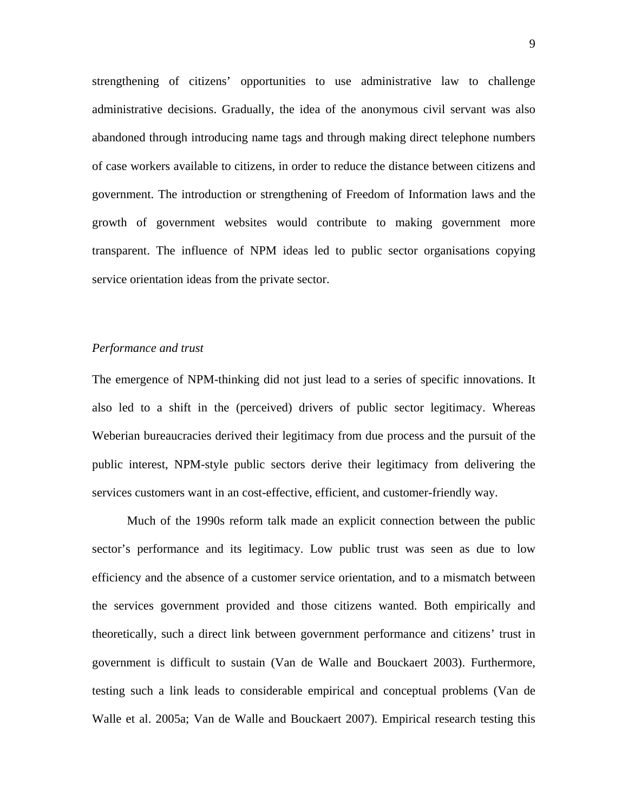strengthening of citizens' opportunities to use administrative law to challenge administrative decisions. Gradually, the idea of the anonymous civil servant was also abandoned through introducing name tags and through making direct telephone numbers of case workers available to citizens, in order to reduce the distance between citizens and government. The introduction or strengthening of Freedom of Information laws and the growth of government websites would contribute to making government more transparent. The influence of NPM ideas led to public sector organisations copying service orientation ideas from the private sector.

#### *Performance and trust*

The emergence of NPM-thinking did not just lead to a series of specific innovations. It also led to a shift in the (perceived) drivers of public sector legitimacy. Whereas Weberian bureaucracies derived their legitimacy from due process and the pursuit of the public interest, NPM-style public sectors derive their legitimacy from delivering the services customers want in an cost-effective, efficient, and customer-friendly way.

Much of the 1990s reform talk made an explicit connection between the public sector's performance and its legitimacy. Low public trust was seen as due to low efficiency and the absence of a customer service orientation, and to a mismatch between the services government provided and those citizens wanted. Both empirically and theoretically, such a direct link between government performance and citizens' trust in government is difficult to sustain (Van de Walle and Bouckaert 2003). Furthermore, testing such a link leads to considerable empirical and conceptual problems (Van de Walle et al. 2005a; Van de Walle and Bouckaert 2007). Empirical research testing this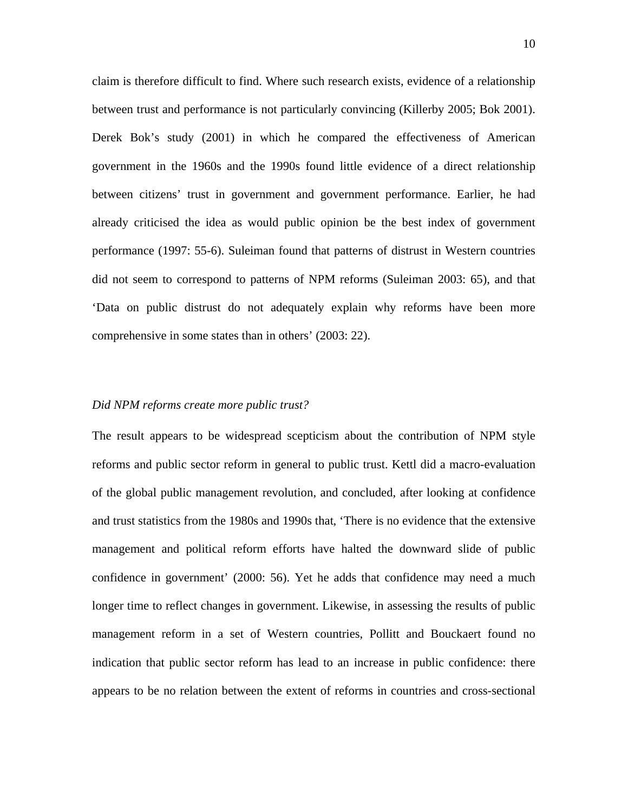claim is therefore difficult to find. Where such research exists, evidence of a relationship between trust and performance is not particularly convincing (Killerby 2005; Bok 2001). Derek Bok's study (2001) in which he compared the effectiveness of American government in the 1960s and the 1990s found little evidence of a direct relationship between citizens' trust in government and government performance. Earlier, he had already criticised the idea as would public opinion be the best index of government performance (1997: 55-6). Suleiman found that patterns of distrust in Western countries did not seem to correspond to patterns of NPM reforms (Suleiman 2003: 65), and that 'Data on public distrust do not adequately explain why reforms have been more comprehensive in some states than in others' (2003: 22).

## *Did NPM reforms create more public trust?*

The result appears to be widespread scepticism about the contribution of NPM style reforms and public sector reform in general to public trust. Kettl did a macro-evaluation of the global public management revolution, and concluded, after looking at confidence and trust statistics from the 1980s and 1990s that, 'There is no evidence that the extensive management and political reform efforts have halted the downward slide of public confidence in government' (2000: 56). Yet he adds that confidence may need a much longer time to reflect changes in government. Likewise, in assessing the results of public management reform in a set of Western countries, Pollitt and Bouckaert found no indication that public sector reform has lead to an increase in public confidence: there appears to be no relation between the extent of reforms in countries and cross-sectional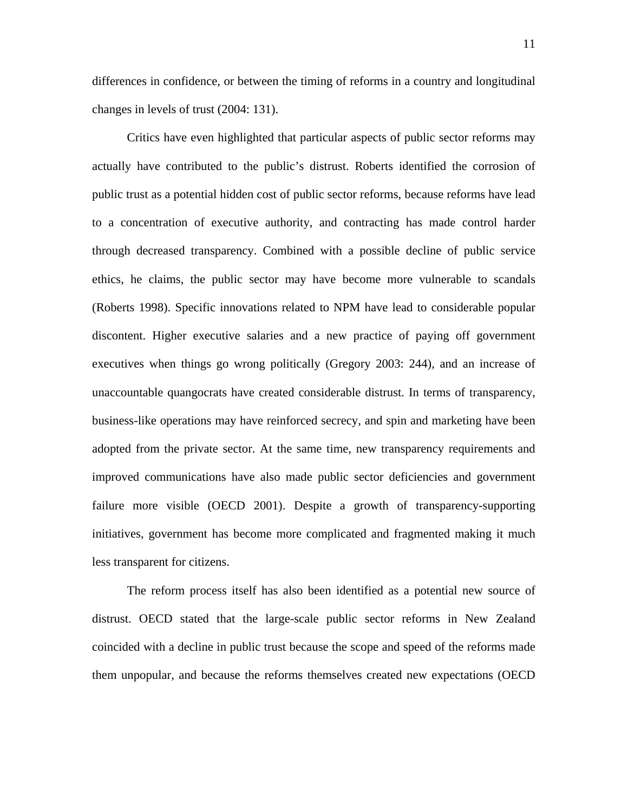differences in confidence, or between the timing of reforms in a country and longitudinal changes in levels of trust (2004: 131).

Critics have even highlighted that particular aspects of public sector reforms may actually have contributed to the public's distrust. Roberts identified the corrosion of public trust as a potential hidden cost of public sector reforms, because reforms have lead to a concentration of executive authority, and contracting has made control harder through decreased transparency. Combined with a possible decline of public service ethics, he claims, the public sector may have become more vulnerable to scandals (Roberts 1998). Specific innovations related to NPM have lead to considerable popular discontent. Higher executive salaries and a new practice of paying off government executives when things go wrong politically (Gregory 2003: 244), and an increase of unaccountable quangocrats have created considerable distrust. In terms of transparency, business-like operations may have reinforced secrecy, and spin and marketing have been adopted from the private sector. At the same time, new transparency requirements and improved communications have also made public sector deficiencies and government failure more visible (OECD 2001). Despite a growth of transparency-supporting initiatives, government has become more complicated and fragmented making it much less transparent for citizens.

The reform process itself has also been identified as a potential new source of distrust. OECD stated that the large-scale public sector reforms in New Zealand coincided with a decline in public trust because the scope and speed of the reforms made them unpopular, and because the reforms themselves created new expectations (OECD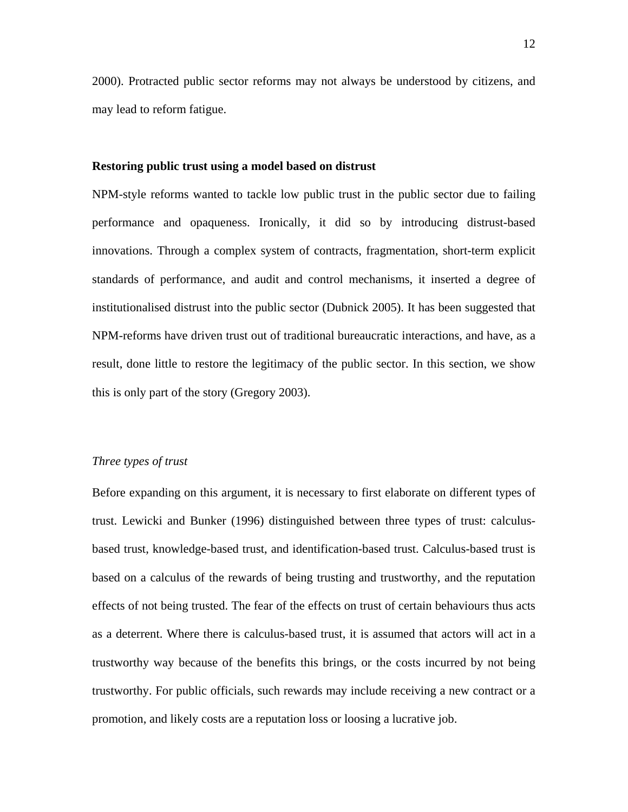2000). Protracted public sector reforms may not always be understood by citizens, and may lead to reform fatigue.

#### **Restoring public trust using a model based on distrust**

NPM-style reforms wanted to tackle low public trust in the public sector due to failing performance and opaqueness. Ironically, it did so by introducing distrust-based innovations. Through a complex system of contracts, fragmentation, short-term explicit standards of performance, and audit and control mechanisms, it inserted a degree of institutionalised distrust into the public sector (Dubnick 2005). It has been suggested that NPM-reforms have driven trust out of traditional bureaucratic interactions, and have, as a result, done little to restore the legitimacy of the public sector. In this section, we show this is only part of the story (Gregory 2003).

# *Three types of trust*

Before expanding on this argument, it is necessary to first elaborate on different types of trust. Lewicki and Bunker (1996) distinguished between three types of trust: calculusbased trust, knowledge-based trust, and identification-based trust. Calculus-based trust is based on a calculus of the rewards of being trusting and trustworthy, and the reputation effects of not being trusted. The fear of the effects on trust of certain behaviours thus acts as a deterrent. Where there is calculus-based trust, it is assumed that actors will act in a trustworthy way because of the benefits this brings, or the costs incurred by not being trustworthy. For public officials, such rewards may include receiving a new contract or a promotion, and likely costs are a reputation loss or loosing a lucrative job.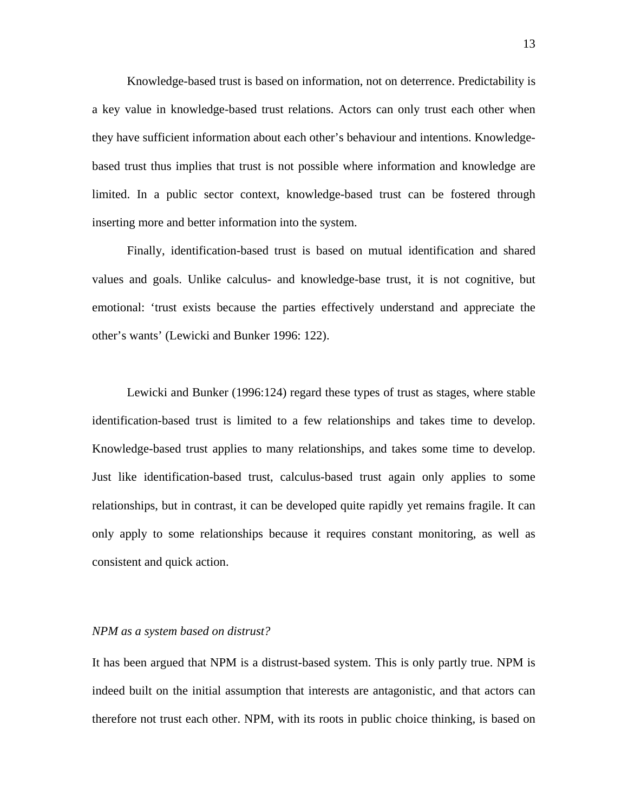Knowledge-based trust is based on information, not on deterrence. Predictability is a key value in knowledge-based trust relations. Actors can only trust each other when they have sufficient information about each other's behaviour and intentions. Knowledgebased trust thus implies that trust is not possible where information and knowledge are limited. In a public sector context, knowledge-based trust can be fostered through inserting more and better information into the system.

Finally, identification-based trust is based on mutual identification and shared values and goals. Unlike calculus- and knowledge-base trust, it is not cognitive, but emotional: 'trust exists because the parties effectively understand and appreciate the other's wants' (Lewicki and Bunker 1996: 122).

Lewicki and Bunker (1996:124) regard these types of trust as stages, where stable identification-based trust is limited to a few relationships and takes time to develop. Knowledge-based trust applies to many relationships, and takes some time to develop. Just like identification-based trust, calculus-based trust again only applies to some relationships, but in contrast, it can be developed quite rapidly yet remains fragile. It can only apply to some relationships because it requires constant monitoring, as well as consistent and quick action.

### *NPM as a system based on distrust?*

It has been argued that NPM is a distrust-based system. This is only partly true. NPM is indeed built on the initial assumption that interests are antagonistic, and that actors can therefore not trust each other. NPM, with its roots in public choice thinking, is based on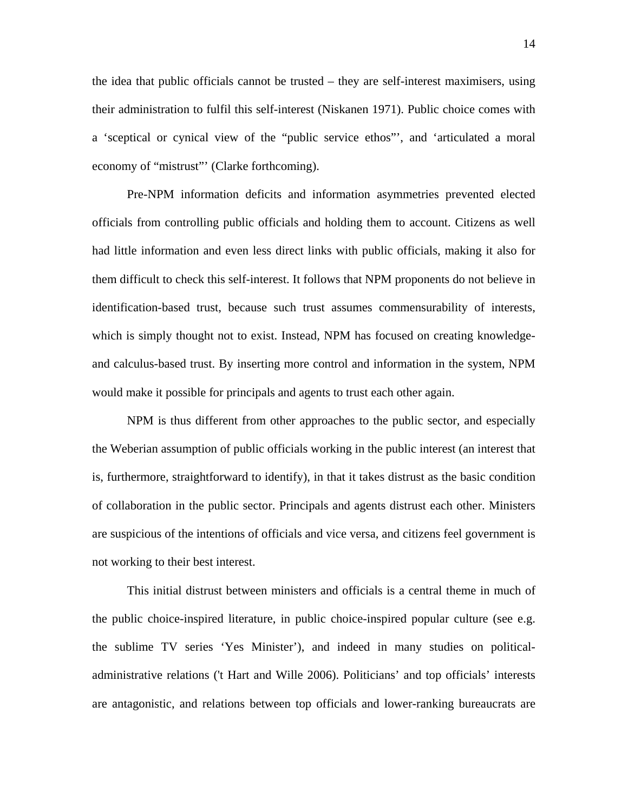the idea that public officials cannot be trusted – they are self-interest maximisers, using their administration to fulfil this self-interest (Niskanen 1971). Public choice comes with a 'sceptical or cynical view of the "public service ethos"', and 'articulated a moral economy of "mistrust"" (Clarke forthcoming).

Pre-NPM information deficits and information asymmetries prevented elected officials from controlling public officials and holding them to account. Citizens as well had little information and even less direct links with public officials, making it also for them difficult to check this self-interest. It follows that NPM proponents do not believe in identification-based trust, because such trust assumes commensurability of interests, which is simply thought not to exist. Instead, NPM has focused on creating knowledgeand calculus-based trust. By inserting more control and information in the system, NPM would make it possible for principals and agents to trust each other again.

NPM is thus different from other approaches to the public sector, and especially the Weberian assumption of public officials working in the public interest (an interest that is, furthermore, straightforward to identify), in that it takes distrust as the basic condition of collaboration in the public sector. Principals and agents distrust each other. Ministers are suspicious of the intentions of officials and vice versa, and citizens feel government is not working to their best interest.

This initial distrust between ministers and officials is a central theme in much of the public choice-inspired literature, in public choice-inspired popular culture (see e.g. the sublime TV series 'Yes Minister'), and indeed in many studies on politicaladministrative relations ('t Hart and Wille 2006). Politicians' and top officials' interests are antagonistic, and relations between top officials and lower-ranking bureaucrats are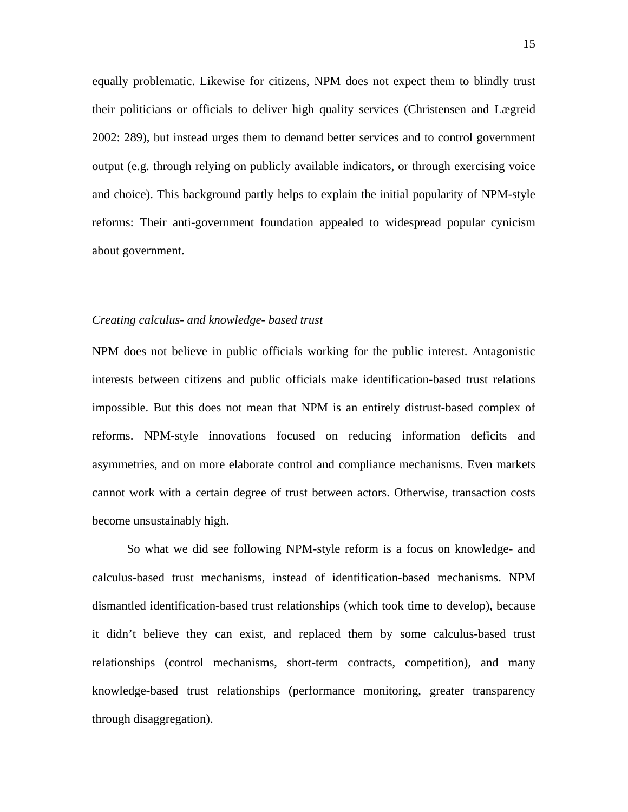equally problematic. Likewise for citizens, NPM does not expect them to blindly trust their politicians or officials to deliver high quality services (Christensen and Lægreid 2002: 289), but instead urges them to demand better services and to control government output (e.g. through relying on publicly available indicators, or through exercising voice and choice). This background partly helps to explain the initial popularity of NPM-style reforms: Their anti-government foundation appealed to widespread popular cynicism about government.

#### *Creating calculus- and knowledge- based trust*

NPM does not believe in public officials working for the public interest. Antagonistic interests between citizens and public officials make identification-based trust relations impossible. But this does not mean that NPM is an entirely distrust-based complex of reforms. NPM-style innovations focused on reducing information deficits and asymmetries, and on more elaborate control and compliance mechanisms. Even markets cannot work with a certain degree of trust between actors. Otherwise, transaction costs become unsustainably high.

So what we did see following NPM-style reform is a focus on knowledge- and calculus-based trust mechanisms, instead of identification-based mechanisms. NPM dismantled identification-based trust relationships (which took time to develop), because it didn't believe they can exist, and replaced them by some calculus-based trust relationships (control mechanisms, short-term contracts, competition), and many knowledge-based trust relationships (performance monitoring, greater transparency through disaggregation).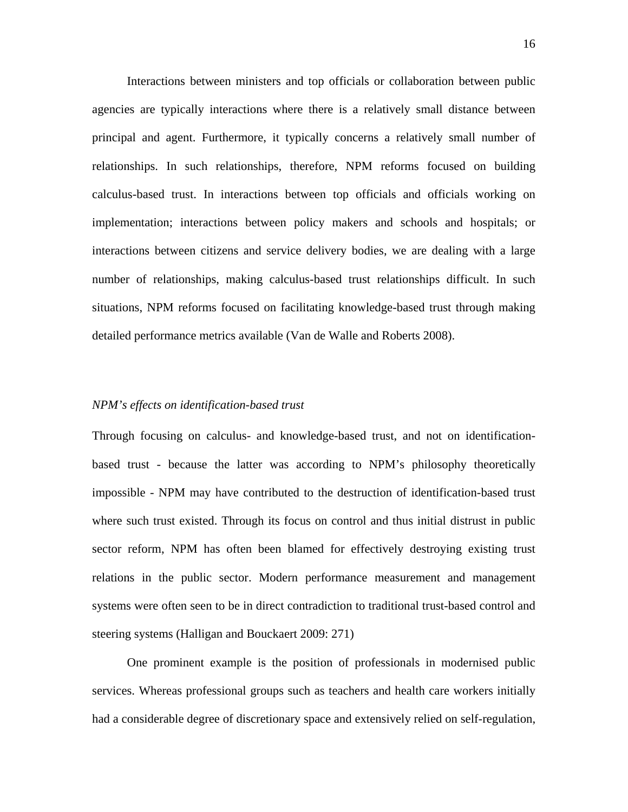Interactions between ministers and top officials or collaboration between public agencies are typically interactions where there is a relatively small distance between principal and agent. Furthermore, it typically concerns a relatively small number of relationships. In such relationships, therefore, NPM reforms focused on building calculus-based trust. In interactions between top officials and officials working on implementation; interactions between policy makers and schools and hospitals; or interactions between citizens and service delivery bodies, we are dealing with a large number of relationships, making calculus-based trust relationships difficult. In such situations, NPM reforms focused on facilitating knowledge-based trust through making detailed performance metrics available (Van de Walle and Roberts 2008).

## *NPM's effects on identification-based trust*

Through focusing on calculus- and knowledge-based trust, and not on identificationbased trust - because the latter was according to NPM's philosophy theoretically impossible - NPM may have contributed to the destruction of identification-based trust where such trust existed. Through its focus on control and thus initial distrust in public sector reform, NPM has often been blamed for effectively destroying existing trust relations in the public sector. Modern performance measurement and management systems were often seen to be in direct contradiction to traditional trust-based control and steering systems (Halligan and Bouckaert 2009: 271)

One prominent example is the position of professionals in modernised public services. Whereas professional groups such as teachers and health care workers initially had a considerable degree of discretionary space and extensively relied on self-regulation,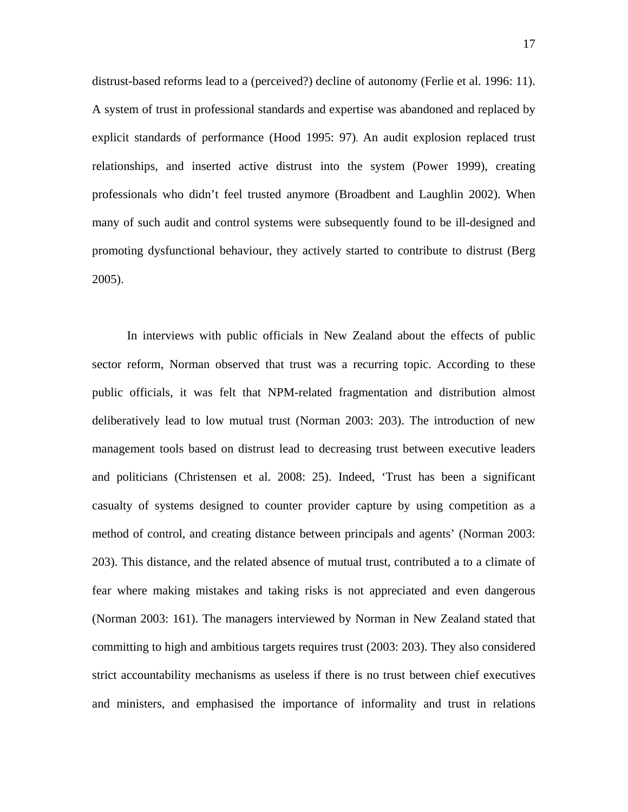distrust-based reforms lead to a (perceived?) decline of autonomy (Ferlie et al. 1996: 11). A system of trust in professional standards and expertise was abandoned and replaced by explicit standards of performance (Hood 1995: 97). An audit explosion replaced trust relationships, and inserted active distrust into the system (Power 1999), creating professionals who didn't feel trusted anymore (Broadbent and Laughlin 2002). When many of such audit and control systems were subsequently found to be ill-designed and promoting dysfunctional behaviour, they actively started to contribute to distrust (Berg 2005).

In interviews with public officials in New Zealand about the effects of public sector reform, Norman observed that trust was a recurring topic. According to these public officials, it was felt that NPM-related fragmentation and distribution almost deliberatively lead to low mutual trust (Norman 2003: 203). The introduction of new management tools based on distrust lead to decreasing trust between executive leaders and politicians (Christensen et al. 2008: 25). Indeed, 'Trust has been a significant casualty of systems designed to counter provider capture by using competition as a method of control, and creating distance between principals and agents' (Norman 2003: 203). This distance, and the related absence of mutual trust, contributed a to a climate of fear where making mistakes and taking risks is not appreciated and even dangerous (Norman 2003: 161). The managers interviewed by Norman in New Zealand stated that committing to high and ambitious targets requires trust (2003: 203). They also considered strict accountability mechanisms as useless if there is no trust between chief executives and ministers, and emphasised the importance of informality and trust in relations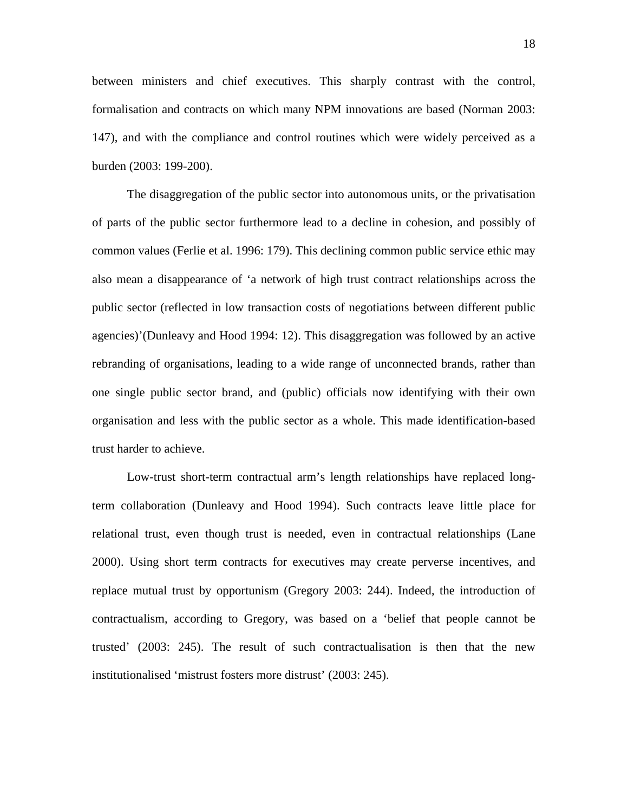between ministers and chief executives. This sharply contrast with the control, formalisation and contracts on which many NPM innovations are based (Norman 2003: 147), and with the compliance and control routines which were widely perceived as a burden (2003: 199-200).

The disaggregation of the public sector into autonomous units, or the privatisation of parts of the public sector furthermore lead to a decline in cohesion, and possibly of common values (Ferlie et al. 1996: 179). This declining common public service ethic may also mean a disappearance of 'a network of high trust contract relationships across the public sector (reflected in low transaction costs of negotiations between different public agencies)'(Dunleavy and Hood 1994: 12). This disaggregation was followed by an active rebranding of organisations, leading to a wide range of unconnected brands, rather than one single public sector brand, and (public) officials now identifying with their own organisation and less with the public sector as a whole. This made identification-based trust harder to achieve.

Low-trust short-term contractual arm's length relationships have replaced longterm collaboration (Dunleavy and Hood 1994). Such contracts leave little place for relational trust, even though trust is needed, even in contractual relationships (Lane 2000). Using short term contracts for executives may create perverse incentives, and replace mutual trust by opportunism (Gregory 2003: 244). Indeed, the introduction of contractualism, according to Gregory, was based on a 'belief that people cannot be trusted' (2003: 245). The result of such contractualisation is then that the new institutionalised 'mistrust fosters more distrust' (2003: 245).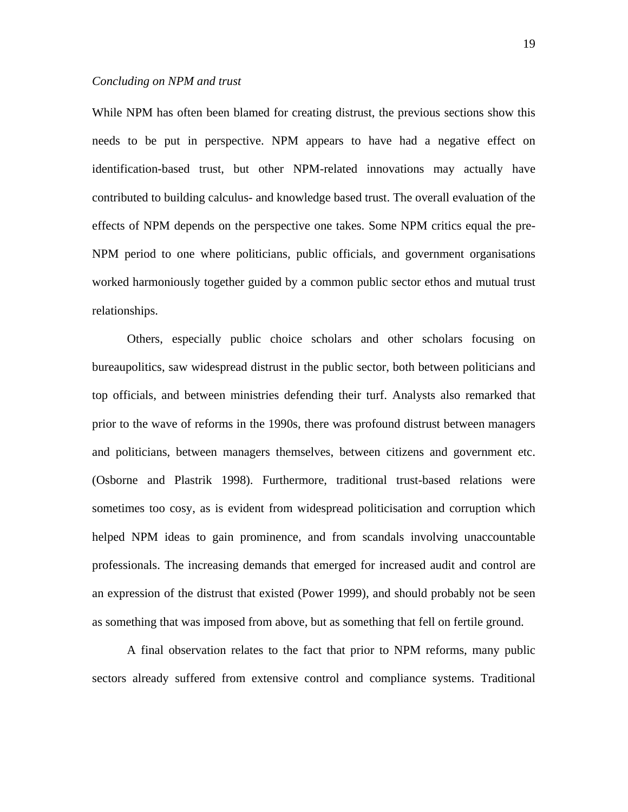#### *Concluding on NPM and trust*

While NPM has often been blamed for creating distrust, the previous sections show this needs to be put in perspective. NPM appears to have had a negative effect on identification-based trust, but other NPM-related innovations may actually have contributed to building calculus- and knowledge based trust. The overall evaluation of the effects of NPM depends on the perspective one takes. Some NPM critics equal the pre-NPM period to one where politicians, public officials, and government organisations worked harmoniously together guided by a common public sector ethos and mutual trust relationships.

Others, especially public choice scholars and other scholars focusing on bureaupolitics, saw widespread distrust in the public sector, both between politicians and top officials, and between ministries defending their turf. Analysts also remarked that prior to the wave of reforms in the 1990s, there was profound distrust between managers and politicians, between managers themselves, between citizens and government etc. (Osborne and Plastrik 1998). Furthermore, traditional trust-based relations were sometimes too cosy, as is evident from widespread politicisation and corruption which helped NPM ideas to gain prominence, and from scandals involving unaccountable professionals. The increasing demands that emerged for increased audit and control are an expression of the distrust that existed (Power 1999), and should probably not be seen as something that was imposed from above, but as something that fell on fertile ground.

A final observation relates to the fact that prior to NPM reforms, many public sectors already suffered from extensive control and compliance systems. Traditional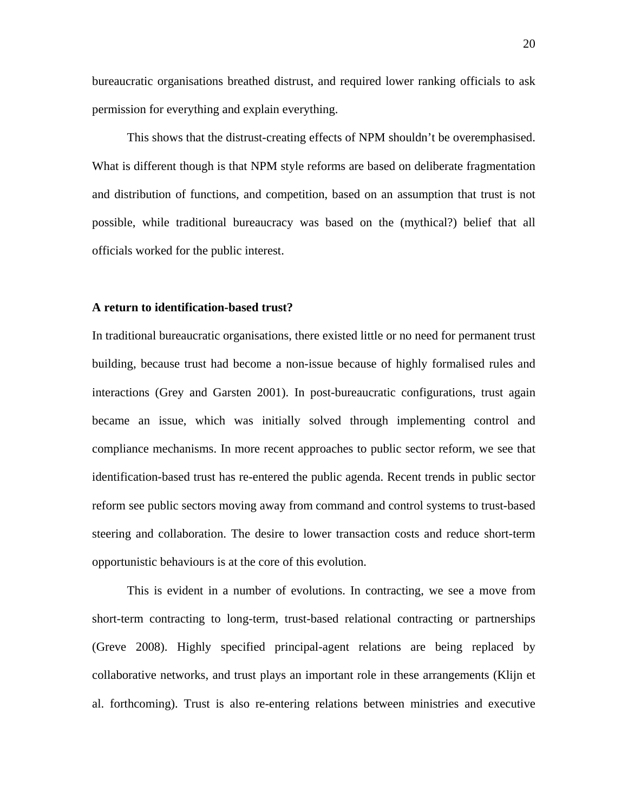bureaucratic organisations breathed distrust, and required lower ranking officials to ask permission for everything and explain everything.

This shows that the distrust-creating effects of NPM shouldn't be overemphasised. What is different though is that NPM style reforms are based on deliberate fragmentation and distribution of functions, and competition, based on an assumption that trust is not possible, while traditional bureaucracy was based on the (mythical?) belief that all officials worked for the public interest.

#### **A return to identification-based trust?**

In traditional bureaucratic organisations, there existed little or no need for permanent trust building, because trust had become a non-issue because of highly formalised rules and interactions (Grey and Garsten 2001). In post-bureaucratic configurations, trust again became an issue, which was initially solved through implementing control and compliance mechanisms. In more recent approaches to public sector reform, we see that identification-based trust has re-entered the public agenda. Recent trends in public sector reform see public sectors moving away from command and control systems to trust-based steering and collaboration. The desire to lower transaction costs and reduce short-term opportunistic behaviours is at the core of this evolution.

This is evident in a number of evolutions. In contracting, we see a move from short-term contracting to long-term, trust-based relational contracting or partnerships (Greve 2008). Highly specified principal-agent relations are being replaced by collaborative networks, and trust plays an important role in these arrangements (Klijn et al. forthcoming). Trust is also re-entering relations between ministries and executive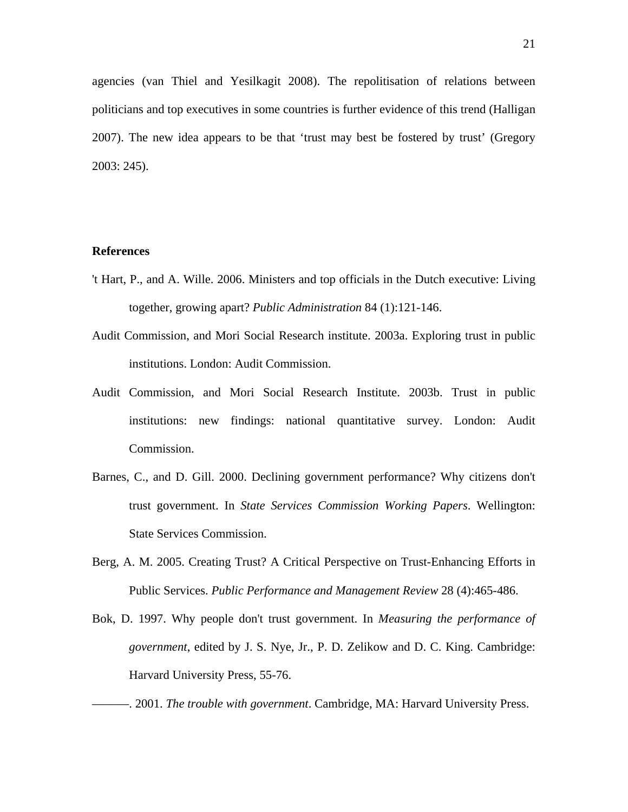agencies (van Thiel and Yesilkagit 2008). The repolitisation of relations between politicians and top executives in some countries is further evidence of this trend (Halligan 2007). The new idea appears to be that 'trust may best be fostered by trust' (Gregory 2003: 245).

## **References**

- 't Hart, P., and A. Wille. 2006. Ministers and top officials in the Dutch executive: Living together, growing apart? *Public Administration* 84 (1):121-146.
- Audit Commission, and Mori Social Research institute. 2003a. Exploring trust in public institutions. London: Audit Commission.
- Audit Commission, and Mori Social Research Institute. 2003b. Trust in public institutions: new findings: national quantitative survey. London: Audit Commission.
- Barnes, C., and D. Gill. 2000. Declining government performance? Why citizens don't trust government. In *State Services Commission Working Papers*. Wellington: State Services Commission.
- Berg, A. M. 2005. Creating Trust? A Critical Perspective on Trust-Enhancing Efforts in Public Services. *Public Performance and Management Review* 28 (4):465-486.
- Bok, D. 1997. Why people don't trust government. In *Measuring the performance of government*, edited by J. S. Nye, Jr., P. D. Zelikow and D. C. King. Cambridge: Harvard University Press, 55-76.

———. 2001. *The trouble with government*. Cambridge, MA: Harvard University Press.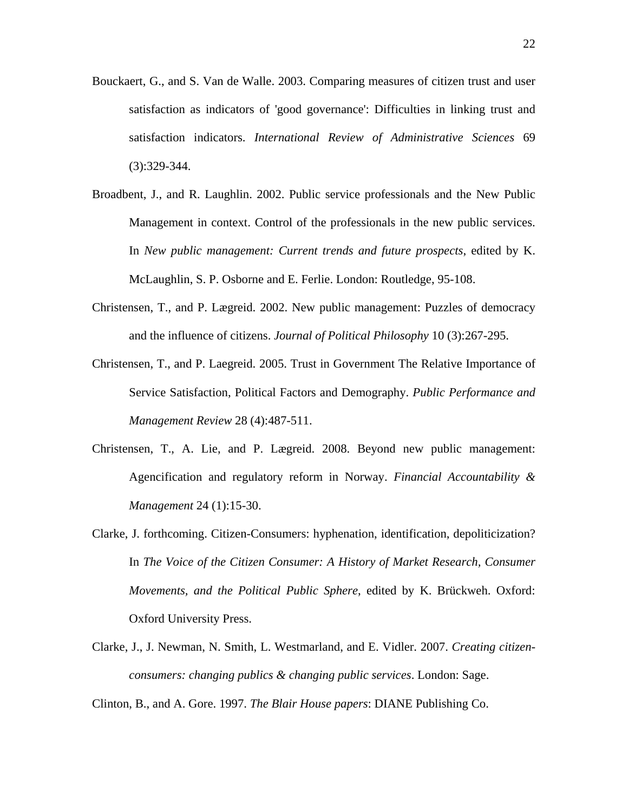- Bouckaert, G., and S. Van de Walle. 2003. Comparing measures of citizen trust and user satisfaction as indicators of 'good governance': Difficulties in linking trust and satisfaction indicators. *International Review of Administrative Sciences* 69 (3):329-344.
- Broadbent, J., and R. Laughlin. 2002. Public service professionals and the New Public Management in context. Control of the professionals in the new public services. In *New public management: Current trends and future prospects*, edited by K. McLaughlin, S. P. Osborne and E. Ferlie. London: Routledge, 95-108.
- Christensen, T., and P. Lægreid. 2002. New public management: Puzzles of democracy and the influence of citizens. *Journal of Political Philosophy* 10 (3):267-295.
- Christensen, T., and P. Laegreid. 2005. Trust in Government The Relative Importance of Service Satisfaction, Political Factors and Demography. *Public Performance and Management Review* 28 (4):487-511.
- Christensen, T., A. Lie, and P. Lægreid. 2008. Beyond new public management: Agencification and regulatory reform in Norway. *Financial Accountability & Management* 24 (1):15-30.
- Clarke, J. forthcoming. Citizen-Consumers: hyphenation, identification, depoliticization? In *The Voice of the Citizen Consumer: A History of Market Research, Consumer Movements, and the Political Public Sphere*, edited by K. Brückweh. Oxford: Oxford University Press.
- Clarke, J., J. Newman, N. Smith, L. Westmarland, and E. Vidler. 2007. *Creating citizenconsumers: changing publics & changing public services*. London: Sage.

Clinton, B., and A. Gore. 1997. *The Blair House papers*: DIANE Publishing Co.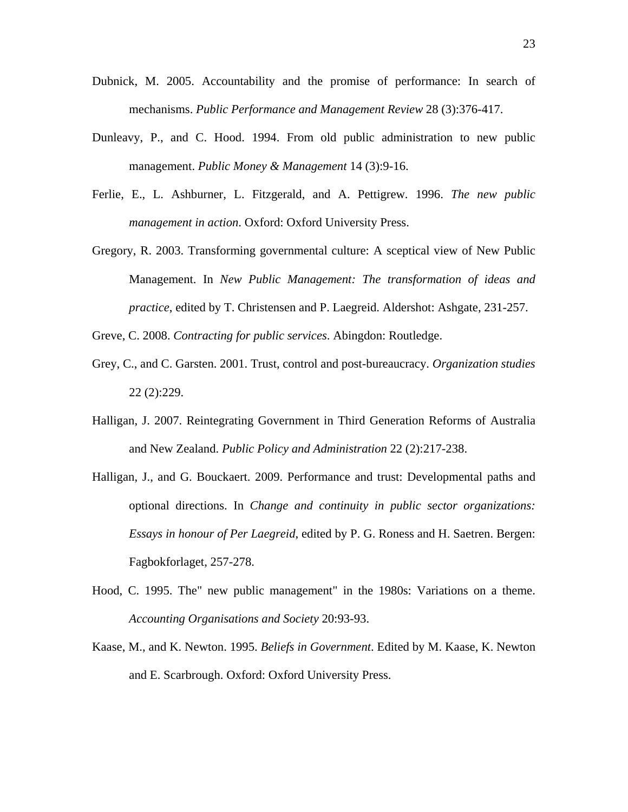- Dubnick, M. 2005. Accountability and the promise of performance: In search of mechanisms. *Public Performance and Management Review* 28 (3):376-417.
- Dunleavy, P., and C. Hood. 1994. From old public administration to new public management. *Public Money & Management* 14 (3):9-16.
- Ferlie, E., L. Ashburner, L. Fitzgerald, and A. Pettigrew. 1996. *The new public management in action*. Oxford: Oxford University Press.
- Gregory, R. 2003. Transforming governmental culture: A sceptical view of New Public Management. In *New Public Management: The transformation of ideas and practice*, edited by T. Christensen and P. Laegreid. Aldershot: Ashgate, 231-257.
- Greve, C. 2008. *Contracting for public services*. Abingdon: Routledge.
- Grey, C., and C. Garsten. 2001. Trust, control and post-bureaucracy. *Organization studies* 22 (2):229.
- Halligan, J. 2007. Reintegrating Government in Third Generation Reforms of Australia and New Zealand. *Public Policy and Administration* 22 (2):217-238.
- Halligan, J., and G. Bouckaert. 2009. Performance and trust: Developmental paths and optional directions. In *Change and continuity in public sector organizations: Essays in honour of Per Laegreid*, edited by P. G. Roness and H. Saetren. Bergen: Fagbokforlaget, 257-278.
- Hood, C. 1995. The" new public management" in the 1980s: Variations on a theme. *Accounting Organisations and Society* 20:93-93.
- Kaase, M., and K. Newton. 1995. *Beliefs in Government*. Edited by M. Kaase, K. Newton and E. Scarbrough. Oxford: Oxford University Press.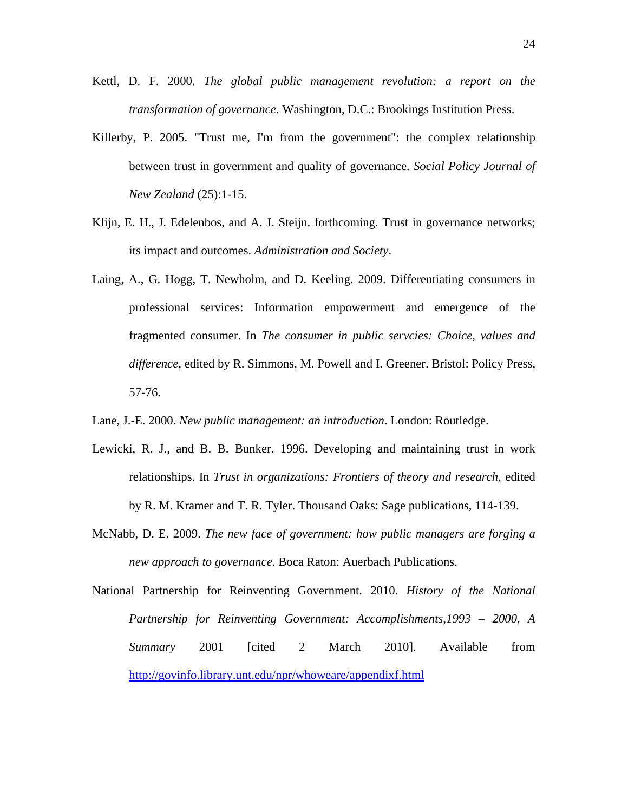- Kettl, D. F. 2000. *The global public management revolution: a report on the transformation of governance*. Washington, D.C.: Brookings Institution Press.
- Killerby, P. 2005. "Trust me, I'm from the government": the complex relationship between trust in government and quality of governance. *Social Policy Journal of New Zealand* (25):1-15.
- Klijn, E. H., J. Edelenbos, and A. J. Steijn. forthcoming. Trust in governance networks; its impact and outcomes. *Administration and Society*.
- Laing, A., G. Hogg, T. Newholm, and D. Keeling. 2009. Differentiating consumers in professional services: Information empowerment and emergence of the fragmented consumer. In *The consumer in public servcies: Choice, values and difference*, edited by R. Simmons, M. Powell and I. Greener. Bristol: Policy Press, 57-76.
- Lane, J.-E. 2000. *New public management: an introduction*. London: Routledge.
- Lewicki, R. J., and B. B. Bunker. 1996. Developing and maintaining trust in work relationships. In *Trust in organizations: Frontiers of theory and research*, edited by R. M. Kramer and T. R. Tyler. Thousand Oaks: Sage publications, 114-139.
- McNabb, D. E. 2009. *The new face of government: how public managers are forging a new approach to governance*. Boca Raton: Auerbach Publications.
- National Partnership for Reinventing Government. 2010. *History of the National Partnership for Reinventing Government: Accomplishments,1993 – 2000, A Summary* 2001 [cited 2 March 2010]. Available from http://govinfo.library.unt.edu/npr/whoweare/appendixf.html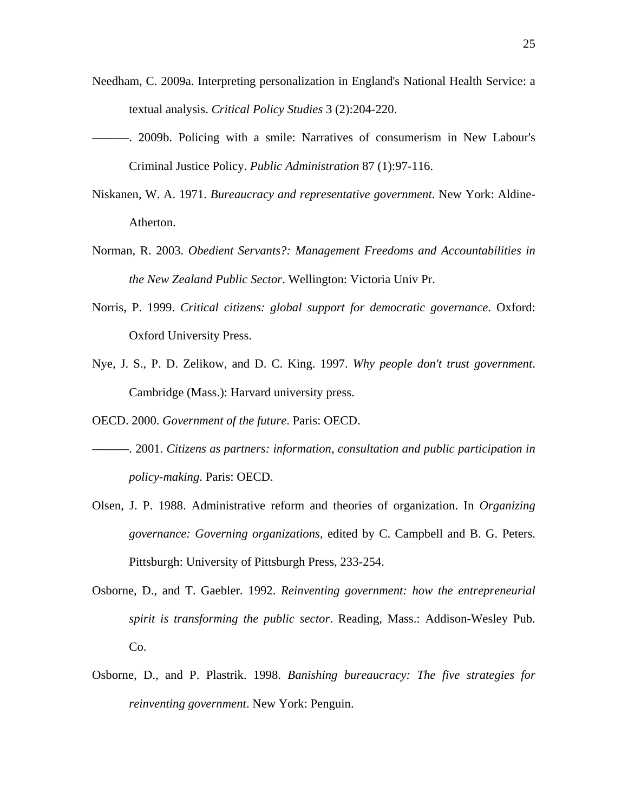- Needham, C. 2009a. Interpreting personalization in England's National Health Service: a textual analysis. *Critical Policy Studies* 3 (2):204-220.
- ———. 2009b. Policing with a smile: Narratives of consumerism in New Labour's Criminal Justice Policy. *Public Administration* 87 (1):97-116.
- Niskanen, W. A. 1971. *Bureaucracy and representative government*. New York: Aldine-Atherton.
- Norman, R. 2003. *Obedient Servants?: Management Freedoms and Accountabilities in the New Zealand Public Sector*. Wellington: Victoria Univ Pr.
- Norris, P. 1999. *Critical citizens: global support for democratic governance*. Oxford: Oxford University Press.
- Nye, J. S., P. D. Zelikow, and D. C. King. 1997. *Why people don't trust government*. Cambridge (Mass.): Harvard university press.
- OECD. 2000. *Government of the future*. Paris: OECD.
- ———. 2001. *Citizens as partners: information, consultation and public participation in policy-making*. Paris: OECD.
- Olsen, J. P. 1988. Administrative reform and theories of organization. In *Organizing governance: Governing organizations*, edited by C. Campbell and B. G. Peters. Pittsburgh: University of Pittsburgh Press, 233-254.
- Osborne, D., and T. Gaebler. 1992. *Reinventing government: how the entrepreneurial spirit is transforming the public sector*. Reading, Mass.: Addison-Wesley Pub. Co.
- Osborne, D., and P. Plastrik. 1998. *Banishing bureaucracy: The five strategies for reinventing government*. New York: Penguin.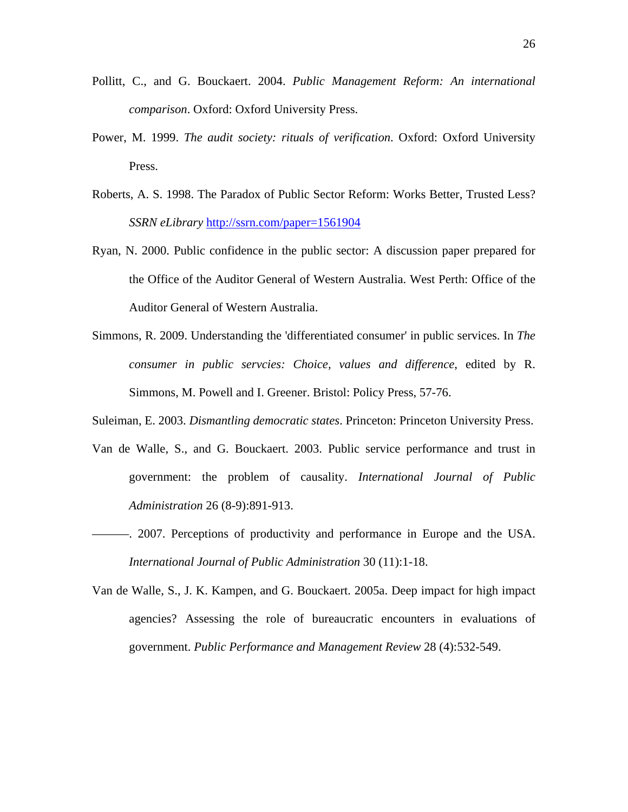- Pollitt, C., and G. Bouckaert. 2004. *Public Management Reform: An international comparison*. Oxford: Oxford University Press.
- Power, M. 1999. *The audit society: rituals of verification*. Oxford: Oxford University Press.
- Roberts, A. S. 1998. The Paradox of Public Sector Reform: Works Better, Trusted Less? *SSRN eLibrary* http://ssrn.com/paper=1561904
- Ryan, N. 2000. Public confidence in the public sector: A discussion paper prepared for the Office of the Auditor General of Western Australia. West Perth: Office of the Auditor General of Western Australia.
- Simmons, R. 2009. Understanding the 'differentiated consumer' in public services. In *The consumer in public servcies: Choice, values and difference*, edited by R. Simmons, M. Powell and I. Greener. Bristol: Policy Press, 57-76.

Suleiman, E. 2003. *Dismantling democratic states*. Princeton: Princeton University Press.

- Van de Walle, S., and G. Bouckaert. 2003. Public service performance and trust in government: the problem of causality. *International Journal of Public Administration* 26 (8-9):891-913.
- ———. 2007. Perceptions of productivity and performance in Europe and the USA. *International Journal of Public Administration* 30 (11):1-18.
- Van de Walle, S., J. K. Kampen, and G. Bouckaert. 2005a. Deep impact for high impact agencies? Assessing the role of bureaucratic encounters in evaluations of government. *Public Performance and Management Review* 28 (4):532-549.